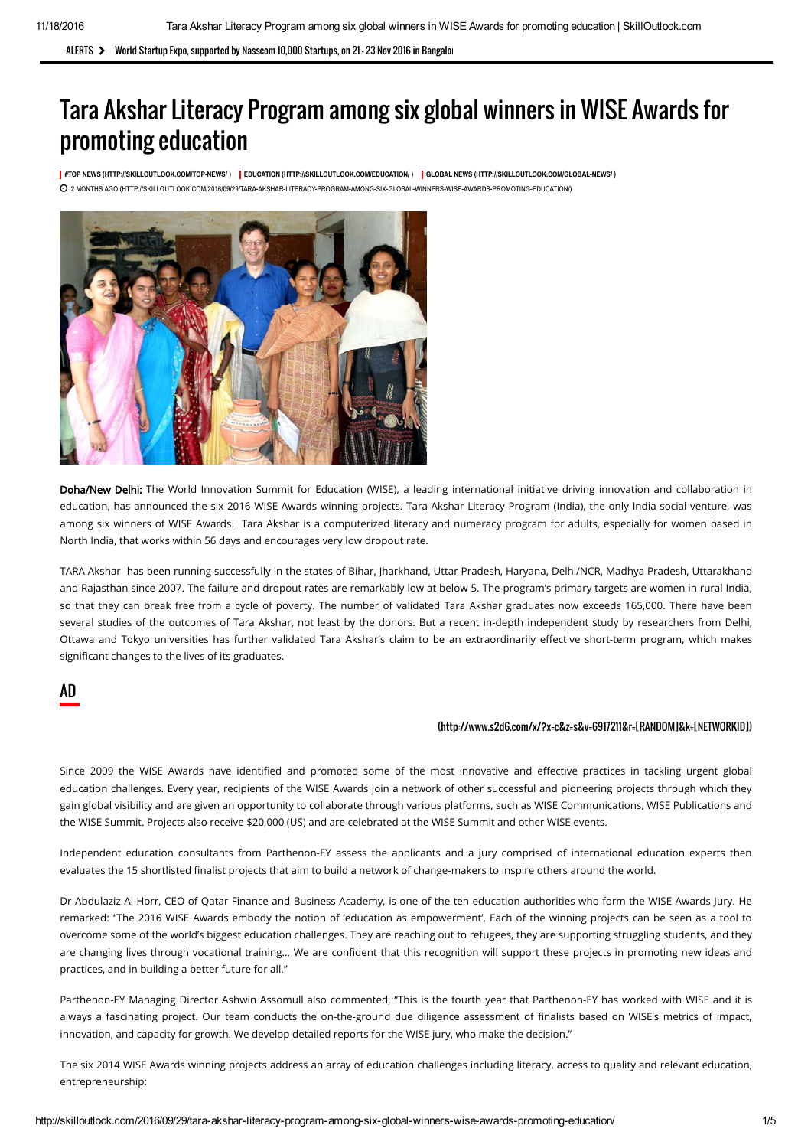ALERTS > World Startup Expo, supported by Nasscom 10,000 Startups, on 21 - 23 Nov 2016 in Bangalor

# Tara Akshar Literacy Program among six global winners in WISE Awards for promoting education

[#TOP NEWS \(HTTP://SKILLOUTLOOK.COM/TOP-NEWS/ \)](http://skilloutlook.com/top-news/) [EDUCATION \(HTTP://SKILLOUTLOOK.COM/EDUCATION/ \)](http://skilloutlook.com/education/) [GLOBAL NEWS \(HTTP://SKILLOUTLOOK.COM/GLOBAL-NEWS/ \)](http://skilloutlook.com/global-news/) [2 MONTHS AGO \(HTTP://SKILLOUTLOOK.COM/2016/09/29/TARA-AKSHAR-LITERACY-PROGRAM-AMONG-SIX-GLOBAL-WINNERS-WISE-AWARDS-PROMOTING-EDUCATION/\)](http://skilloutlook.com/2016/09/29/tara-akshar-literacy-program-among-six-global-winners-wise-awards-promoting-education/)



Doha/New Delhi: The World Innovation Summit for Education (WISE), a leading international initiative driving innovation and collaboration in education, has announced the six 2016 WISE Awards winning projects. Tara Akshar Literacy Program (India), the only India social venture, was among six winners of WISE Awards. Tara Akshar is a computerized literacy and numeracy program for adults, especially for women based in North India, that works within 56 days and encourages very low dropout rate.

TARA Akshar has been running successfully in the states of Bihar, Jharkhand, Uttar Pradesh, Haryana, Delhi/NCR, Madhya Pradesh, Uttarakhand and Rajasthan since 2007. The failure and dropout rates are remarkably low at below 5. The program's primary targets are women in rural India, so that they can break free from a cycle of poverty. The number of validated Tara Akshar graduates now exceeds 165,000. There have been several studies of the outcomes of Tara Akshar, not least by the donors. But a recent in-depth independent study by researchers from Delhi, Ottawa and Tokyo universities has further validated Tara Akshar's claim to be an extraordinarily effective short-term program, which makes significant changes to the lives of its graduates.

#### AD

#### [\(http://www.s2d6.com/x/?x=c&z=s&v=6917211&r=\[RANDOM\]&k=\[NETWORKID\]\)](http://www.s2d6.com/x/?x=c&z=s&v=6917211&r=[RANDOM]&k=[NETWORKID])

Since 2009 the WISE Awards have identified and promoted some of the most innovative and effective practices in tackling urgent global education challenges. Every year, recipients of the WISE Awards join a network of other successful and pioneering projects through which they gain global visibility and are given an opportunity to collaborate through various platforms, such as WISE Communications, WISE Publications and the WISE Summit. Projects also receive \$20,000 (US) and are celebrated at the WISE Summit and other WISE events.

Independent education consultants from Parthenon-EY assess the applicants and a jury comprised of international education experts then evaluates the 15 shortlisted finalist projects that aim to build a network of change-makers to inspire others around the world.

Dr Abdulaziz Al-Horr, CEO of Qatar Finance and Business Academy, is one of the ten education authorities who form the WISE Awards Jury. He remarked: "The 2016 WISE Awards embody the notion of 'education as empowerment'. Each of the winning projects can be seen as a tool to overcome some of the world's biggest education challenges. They are reaching out to refugees, they are supporting struggling students, and they are changing lives through vocational training... We are confident that this recognition will support these projects in promoting new ideas and practices, and in building a better future for all."

Parthenon-EY Managing Director Ashwin Assomull also commented, "This is the fourth year that Parthenon-EY has worked with WISE and it is always a fascinating project. Our team conducts the on-the-ground due diligence assessment of finalists based on WISE's metrics of impact, innovation, and capacity for growth. We develop detailed reports for the WISE jury, who make the decision."

The six 2014 WISE Awards winning projects address an array of education challenges including literacy, access to quality and relevant education, entrepreneurship: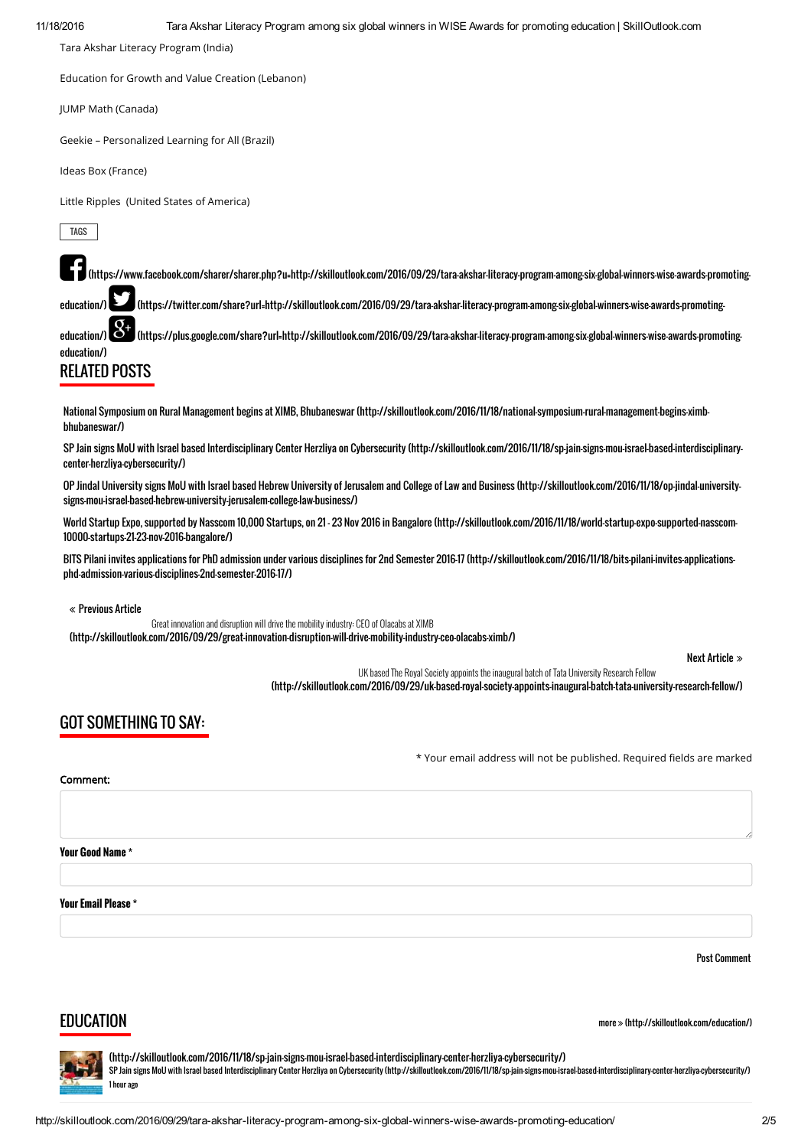Tara Akshar Literacy Program (India)

Education for Growth and Value Creation (Lebanon)

JUMP Math (Canada)

Geekie – Personalized Learning for All (Brazil)

Ideas Box (France)

Little Ripples (United States of America)

TAGS [EDUCATION \(HTTP://SKILLOUTLOOK.COM/TAG/EDUCATION/\)](http://skilloutlook.com/tag/education/) [HIGHER EDUCATION \(HTTP://SKILLOUTLOOK.COM/TAG/HIGHER-EDUCATION/\)](http://skilloutlook.com/tag/higher-education/) HIGHER-EDUCATION/(HTTP://SKILLOUTLOOK.COM/TAG/HIGHER-EDUCATION/) HIGHER-EDUCATION/(HTTP://SKILLOUTLOO

 [\(https://www.facebook.com/sharer/sharer.php?u=http://skilloutlook.com/2016/09/29/tara-akshar-literacy-program-among-six-global-winners-wise-awards-promoting-](https://www.facebook.com/sharer/sharer.php?u=http://skilloutlook.com/2016/09/29/tara-akshar-literacy-program-among-six-global-winners-wise-awards-promoting-education/)

education/) (https://twitter.com/share?url=http://skilloutlook.com/2016/09/29/tara-akshar-literacy-program-among-six-global-winners-wise-awards-promoting-

education/) (SS) [\(https://plus.google.com/share?url=http://skilloutlook.com/2016/09/29/tara-akshar-literacy-program-among-six-global-winners-wise-awards-promo](https://twitter.com/share?url=http://skilloutlook.com/2016/09/29/tara-akshar-literacy-program-among-six-global-winners-wise-awards-promoting-education/)[ting](https://plus.google.com/share?url=http://skilloutlook.com/2016/09/29/tara-akshar-literacy-program-among-six-global-winners-wise-awards-promoting-education/)education/)

# RELATED POSTS

[National Symposium on Rural Management begins at XIMB, Bhubaneswar \(http://skilloutlook.com/2016/11/18/national-symposium-rural-management-begins-ximb](http://skilloutlook.com/2016/11/18/national-symposium-rural-management-begins-ximb-bhubaneswar/)bhubaneswar/)

[SP Jain signs MoU with Israel based Interdisciplinary Center Herzliya on Cybersecurity \(http://skilloutlook.com/2016/11/18/sp-jain-signs-mou-israel-based-interdisciplinary](http://skilloutlook.com/2016/11/18/sp-jain-signs-mou-israel-based-interdisciplinary-center-herzliya-cybersecurity/)center-herzliya-cybersecurity/)

[OP Jindal University signs MoU with Israel based Hebrew University of Jerusalem and College of Law and Business \(http://skilloutlook.com/2016/11/18/op-jindal-university](http://skilloutlook.com/2016/11/18/op-jindal-university-signs-mou-israel-based-hebrew-university-jerusalem-college-law-business/)signs-mou-israel-based-hebrew-university-jerusalem-college-law-business/)

[World Startup Expo, supported by Nasscom 10,000 Startups, on 21 – 23 Nov 2016 in Bangalore \(http://skilloutlook.com/2016/11/18/world-startup-expo-supported-nasscom-](http://skilloutlook.com/2016/11/18/world-startup-expo-supported-nasscom-10000-startups-21-23-nov-2016-bangalore/)10000-startups-21-23-nov-2016-bangalore/)

[BITS Pilani invites applications for PhD admission under various disciplines for 2nd Semester 2016-17 \(http://skilloutlook.com/2016/11/18/bits-pilani-invites-applications](http://skilloutlook.com/2016/11/18/bits-pilani-invites-applications-phd-admission-various-disciplines-2nd-semester-2016-17/)phd-admission-various-disciplines-2nd-semester-2016-17/)

Previous Article

Great innovation and disruption will drive the mobility industry: CEO of Olacabs at XIMB [\(http://skilloutlook.com/2016/09/29/great-innovation-disruption-will-drive-mobility-industry-ceo-olacabs-ximb/\)](http://skilloutlook.com/2016/09/29/great-innovation-disruption-will-drive-mobility-industry-ceo-olacabs-ximb/)

Next Article

UK based The Royal Society appoints the inaugural batch of Tata University Research Fellow [\(http://skilloutlook.com/2016/09/29/uk-based-royal-society-appoints-inaugural-batch-tata-university-research-fellow/\)](http://skilloutlook.com/2016/09/29/uk-based-royal-society-appoints-inaugural-batch-tata-university-research-fellow/)

#### GOT SOMETHING TO SAY:

\* Your email address will not be published. Required fields are marked

#### Comment:

Your Good Name \*

Your Email Please \*

Post Comment

#### **EDUCATION**

more » [\(http://skilloutlook.com/education/\)](http://skilloutlook.com/education/)

[\(http://skilloutlook.com/2016/11/18/sp-jain-signs-mou-israel-based-interdisciplinary-center-herzliya-cybersecurity/\)](http://skilloutlook.com/2016/11/18/sp-jain-signs-mou-israel-based-interdisciplinary-center-herzliya-cybersecurity/) [SP Jain signs MoU with Israel based Interdisciplinary Center Herzliya on Cybersecurity \(http://skilloutlook.com/2016/11/18/sp-jain-signs-mou-israel-based-interdisciplinary-center-herzliya-cybersecurity/\)](http://skilloutlook.com/2016/11/18/sp-jain-signs-mou-israel-based-interdisciplinary-center-herzliya-cybersecurity/) 1 hour ago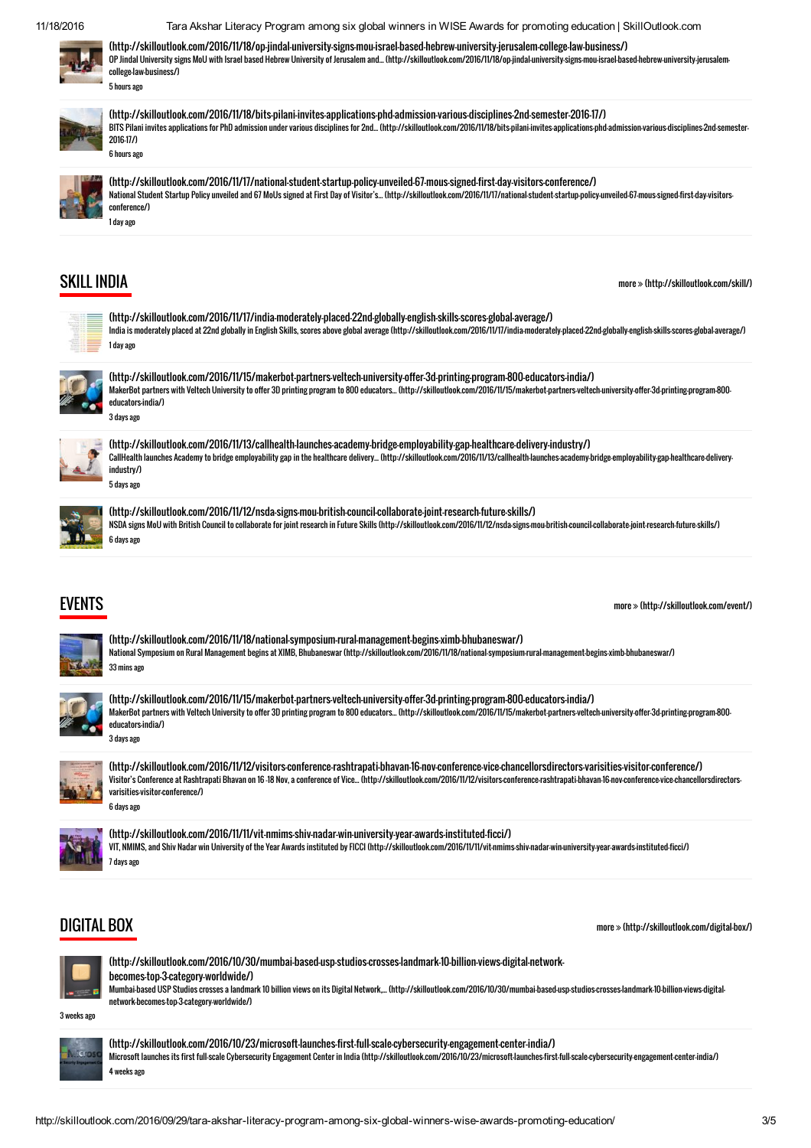11/18/2016 Tara Akshar Literacy Program among six global winners in WISE Awards for promoting education | SkillOutlook.com



[\(http://skilloutlook.com/2016/11/18/op-jindal-university-signs-mou-israel-based-hebrew-university-jerusalem-college-law-business/\)](http://skilloutlook.com/2016/11/18/op-jindal-university-signs-mou-israel-based-hebrew-university-jerusalem-college-law-business/) [OP Jindal University signs MoU with Israel based Hebrew University of Jerusalem and... \(http://skilloutlook.com/2016/11/18/op-jindal-university-signs-mou-israel-based-hebrew-university-jerusalem](http://skilloutlook.com/2016/11/18/op-jindal-university-signs-mou-israel-based-hebrew-university-jerusalem-college-law-business/)college-law-business/)

[\(http://skilloutlook.com/2016/11/18/bits-pilani-invites-applications-phd-admission-various-disciplines-2nd-semester-2016-17/\)](http://skilloutlook.com/2016/11/18/bits-pilani-invites-applications-phd-admission-various-disciplines-2nd-semester-2016-17/) [BITS Pilani invites applications for PhD admission under various disciplines for 2nd... \(http://skilloutlook.com/2016/11/18/bits-pilani-invites-applications-phd-admission-various-disciplines-2nd-semester-](http://skilloutlook.com/2016/11/18/bits-pilani-invites-applications-phd-admission-various-disciplines-2nd-semester-2016-17/)2016-17/) 6 hours ago



[\(http://skilloutlook.com/2016/11/17/national-student-startup-policy-unveiled-67-mous-signed-first-day-visitors-conference/\)](http://skilloutlook.com/2016/11/17/national-student-startup-policy-unveiled-67-mous-signed-first-day-visitors-conference/) [National Student Startup Policy unveiled and 67 MoUs signed at First Day of Visitor's... \(http://skilloutlook.com/2016/11/17/national-student-startup-policy-unveiled-67-mous-signed-first-day-visitors](http://skilloutlook.com/2016/11/17/national-student-startup-policy-unveiled-67-mous-signed-first-day-visitors-conference/)conference/)

#### SKILL INDIA

more  [\(http://skilloutlook.com/skill/\)](http://skilloutlook.com/skill/)

| ï<br>÷ |  |
|--------|--|
| ٠      |  |
|        |  |
|        |  |
|        |  |
|        |  |
|        |  |
|        |  |
| i.     |  |

[\(http://skilloutlook.com/2016/11/17/india-moderately-placed-22nd-globally-english-skills-scores-global-average/\)](http://skilloutlook.com/2016/11/17/india-moderately-placed-22nd-globally-english-skills-scores-global-average/) [India is moderately placed at 22nd globally in English Skills, scores above global average \(http://skilloutlook.com/2016/11/17/india-moderately-placed-22nd-globally-english-skills-scores-global-average/\)](http://skilloutlook.com/2016/11/17/india-moderately-placed-22nd-globally-english-skills-scores-global-average/) 1 day ago



[\(http://skilloutlook.com/2016/11/15/makerbot-partners-veltech-university-offer-3d-printing-program-800-educators-india/\)](http://skilloutlook.com/2016/11/15/makerbot-partners-veltech-university-offer-3d-printing-program-800-educators-india/) [MakerBot partners with Veltech University to offer 3D printing program to 800 educators... \(http://skilloutlook.com/2016/11/15/makerbot-partners-veltech-university-offer-3d-printing-program-800](http://skilloutlook.com/2016/11/15/makerbot-partners-veltech-university-offer-3d-printing-program-800-educators-india/) educators-india/) 3 days ago



[\(http://skilloutlook.com/2016/11/13/callhealth-launches-academy-bridge-employability-gap-healthcare-delivery-industry/\)](http://skilloutlook.com/2016/11/13/callhealth-launches-academy-bridge-employability-gap-healthcare-delivery-industry/) [CallHealth launches Academy to bridge employability gap in the healthcare delivery... \(http://skilloutlook.com/2016/11/13/callhealth-launches-academy-bridge-employability-gap-healthcare-delivery](http://skilloutlook.com/2016/11/13/callhealth-launches-academy-bridge-employability-gap-healthcare-delivery-industry/)industry/) 5 days ago

[\(http://skilloutlook.com/2016/11/12/nsda-signs-mou-british-council-collaborate-joint-research-future-skills/\)](http://skilloutlook.com/2016/11/12/nsda-signs-mou-british-council-collaborate-joint-research-future-skills/) [NSDA signs MoU with British Council to collaborate for joint research in Future Skills \(http://skilloutlook.com/2016/11/12/nsda-signs-mou-british-council-collaborate-joint-research-future-skills/\)](http://skilloutlook.com/2016/11/12/nsda-signs-mou-british-council-collaborate-joint-research-future-skills/) 6 days ago

#### EVENTS

more  [\(http://skilloutlook.com/event/\)](http://skilloutlook.com/event/)

[\(http://skilloutlook.com/2016/11/18/national-symposium-rural-management-begins-ximb-bhubaneswar/\)](http://skilloutlook.com/2016/11/18/national-symposium-rural-management-begins-ximb-bhubaneswar/) [National Symposium on Rural Management begins at XIMB, Bhubaneswar \(http://skilloutlook.com/2016/11/18/national-symposium-rural-management-begins-ximb-bhubaneswar/\)](http://skilloutlook.com/2016/11/18/national-symposium-rural-management-begins-ximb-bhubaneswar/) 33 mins ago

[\(http://skilloutlook.com/2016/11/15/makerbot-partners-veltech-university-offer-3d-printing-program-800-educators-india/\)](http://skilloutlook.com/2016/11/15/makerbot-partners-veltech-university-offer-3d-printing-program-800-educators-india/) [MakerBot partners with Veltech University to offer 3D printing program to 800 educators... \(http://skilloutlook.com/2016/11/15/makerbot-partners-veltech-university-offer-3d-printing-program-800](http://skilloutlook.com/2016/11/15/makerbot-partners-veltech-university-offer-3d-printing-program-800-educators-india/) educators-india/) 3 days ago



[\(http://skilloutlook.com/2016/11/12/visitors-conference-rashtrapati-bhavan-16-nov-conference-vice-chancellorsdirectors-varisities-visitor-conference/\)](http://skilloutlook.com/2016/11/12/visitors-conference-rashtrapati-bhavan-16-nov-conference-vice-chancellorsdirectors-varisities-visitor-conference/) [Visitor's Conference at Rashtrapati Bhavan on 16 –18 Nov, a conference of Vice... \(http://skilloutlook.com/2016/11/12/visitors-conference-rashtrapati-bhavan-16-nov-conference-vice-chancellorsdirectors](http://skilloutlook.com/2016/11/12/visitors-conference-rashtrapati-bhavan-16-nov-conference-vice-chancellorsdirectors-varisities-visitor-conference/)varisities-visitor-conference/)



[\(http://skilloutlook.com/2016/11/11/vit-nmims-shiv-nadar-win-university-year-awards-instituted-ficci/\)](http://skilloutlook.com/2016/11/11/vit-nmims-shiv-nadar-win-university-year-awards-instituted-ficci/) [VIT, NMIMS, and Shiv Nadar win University of the Year Awards instituted by FICCI \(http://skilloutlook.com/2016/11/11/vit-nmims-shiv-nadar-win-university-year-awards-instituted-ficci/\)](http://skilloutlook.com/2016/11/11/vit-nmims-shiv-nadar-win-university-year-awards-instituted-ficci/) 7 days ago

#### DIGITAL BOX

more » [\(http://skilloutlook.com/digital-box/\)](http://skilloutlook.com/digital-box/)



[\(http://skilloutlook.com/2016/10/30/mumbai-based-usp-studios-crosses-landmark-10-billion-views-digital-network](http://skilloutlook.com/2016/10/30/mumbai-based-usp-studios-crosses-landmark-10-billion-views-digital-network-becomes-top-3-category-worldwide/)becomes-top-3-category-worldwide/) [Mumbai-based USP Studios crosses a landmark 10 billion views on its Digital Network,... \(http://skilloutlook.com/2016/10/30/mumbai-based-usp-studios-crosses-landmark-10-billion-views-digital](http://skilloutlook.com/2016/10/30/mumbai-based-usp-studios-crosses-landmark-10-billion-views-digital-network-becomes-top-3-category-worldwide/)network-becomes-top-3-category-worldwide/)

3 weeks ago



[\(http://skilloutlook.com/2016/10/23/microsoft-launches-first-full-scale-cybersecurity-engagement-center-india/\)](http://skilloutlook.com/2016/10/23/microsoft-launches-first-full-scale-cybersecurity-engagement-center-india/) [Microsoft launches its first full-scale Cybersecurity Engagement Center in India \(http://skilloutlook.com/2016/10/23/microsoft-launches-first-full-scale-cybersecurity-engagement-center-india/\)](http://skilloutlook.com/2016/10/23/microsoft-launches-first-full-scale-cybersecurity-engagement-center-india/) 4 weeks ago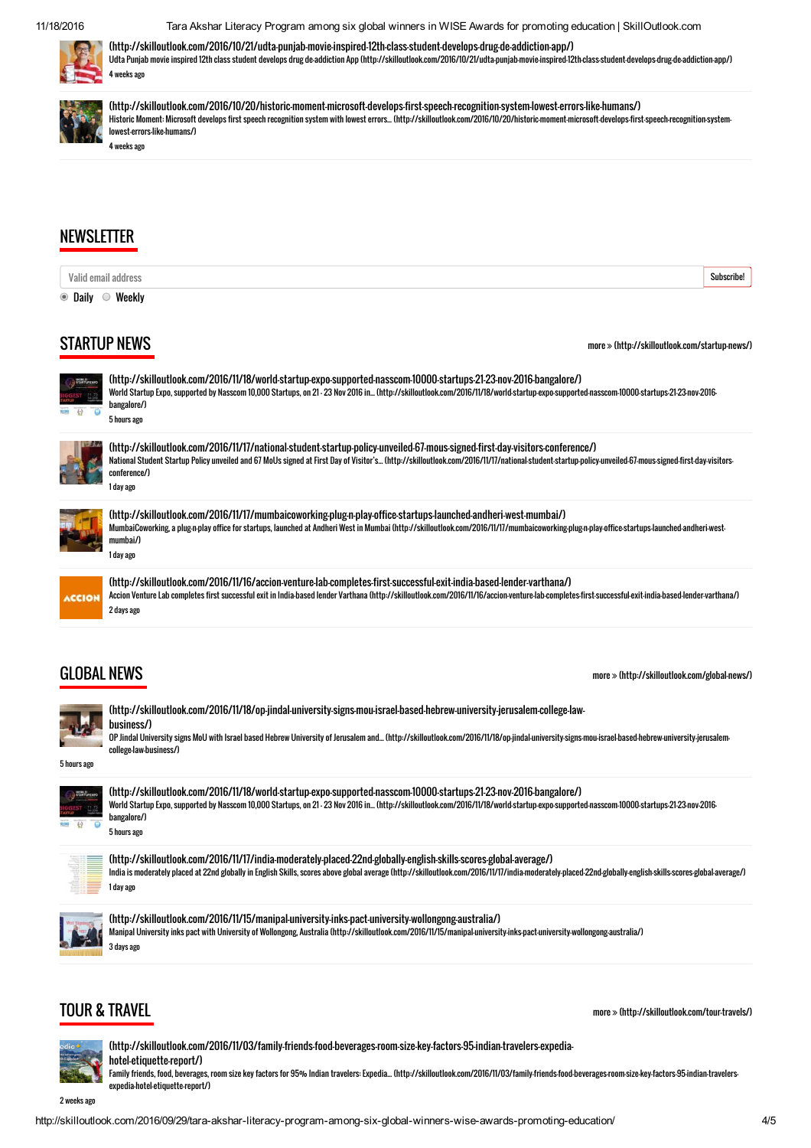11/18/2016 Tara Akshar Literacy Program among six global winners in WISE Awards for promoting education | SkillOutlook.com



[\(http://skilloutlook.com/2016/10/21/udta-punjab-movie-inspired-12th-class-student-develops-drug-de-addiction-app/\)](http://skilloutlook.com/2016/10/21/udta-punjab-movie-inspired-12th-class-student-develops-drug-de-addiction-app/)

[Udta Punjab movie inspired 12th class student develops drug de-addiction App \(http://skilloutlook.com/2016/10/21/udta-punjab-movie-inspired-12th-class-student-develops-drug-de-addiction-app/\)](http://skilloutlook.com/2016/10/21/udta-punjab-movie-inspired-12th-class-student-develops-drug-de-addiction-app/) 4 weeks ago



[\(http://skilloutlook.com/2016/10/20/historic-moment-microsoft-develops-first-speech-recognition-system-lowest-errors-like-humans/\)](http://skilloutlook.com/2016/10/20/historic-moment-microsoft-develops-first-speech-recognition-system-lowest-errors-like-humans/) [Historic Moment: Microsoft develops first speech recognition system with lowest errors... \(http://skilloutlook.com/2016/10/20/historic-moment-microsoft-develops-first-speech-recognition-system](http://skilloutlook.com/2016/10/20/historic-moment-microsoft-develops-first-speech-recognition-system-lowest-errors-like-humans/)lowest-errors-like-humans/) 4 weeks ago

#### **NEWSLETTER**

| Valid email address |                                                                                                                                                                                                                                                                                                                                                                      | Subscribe! |
|---------------------|----------------------------------------------------------------------------------------------------------------------------------------------------------------------------------------------------------------------------------------------------------------------------------------------------------------------------------------------------------------------|------------|
| ● Daily ● Weekly    |                                                                                                                                                                                                                                                                                                                                                                      |            |
|                     | <b>STARTUP NEWS</b><br>more » (http://skilloutlook.com/startup-news/)                                                                                                                                                                                                                                                                                                |            |
|                     | (http://skilloutlook.com/2016/11/18/world-startup-expo-supported-nasscom-10000-startups-21-23-nov-2016-bangalore/)<br>World Startup Expo, supported by Nasscom 10,000 Startups, on 21 - 23 Nov 2016 in (http://skilloutlook.com/2016/11/18/world-startup-expo-supported-nasscom-10000-startups-21-23-nov-2016-<br>bangalore/)<br>5 hours ago                         |            |
|                     | (http://skilloutlook.com/2016/11/17/national-student-startup-policy-unveiled-67-mous-signed-first-day-visitors-conference/)<br>National Student Startup Policy unveiled and 67 MoUs signed at First Day of Visitor's (http://skilloutlook.com/2016/11/11/national-student-startup-policy-unveiled-67-mous-signed-first-day-visitors-<br>conference/)<br>1 day ago    |            |
|                     | (http://skilloutlook.com/2016/11/17/mumbaicoworking-plug-n-play-office-startups-launched-andheri-west-mumbai/)<br>MumbaiCoworking, a plugn-play office for startups, launched at Andheri West in Mumbai (http://skilloutlook.com/2016/11/17/mumbaicoworking-plugn-play-office-startups-launched-andheri-west-<br>mumbai/)<br>1 day ago                               |            |
| <b>ACCION</b>       | (http://skilloutlook.com/2016/11/16/accion-venture-lab-completes-first-successful-exit-india-based-lender-varthana/)<br>Accion Venture Lab completes first successful exit in India-based lender Varthana (http://skilloutlook.com/2016/11/16/accion-venture-lab-completes-first-successful-exit-india-based-lender-varthana/)<br>2 days ago                         |            |
| <b>GLOBAL NEWS</b>  | $more$ $\gg$ (http://skilloutlook.com/global-news/)                                                                                                                                                                                                                                                                                                                  |            |
| 5 hours ago         | (http://skilloutlook.com/2016/11/18/op-jindal-university-signs-mou-israel-based-hebrew-university-jerusalem-college-law-<br>business/)<br>OP Jindal University signs MoU with Israel based Hebrew University of Jerusalem and (http://skilloutlook.com/2016/11/18/op-jindal-university-signs-mou-israel-based-hebrew-university-jerusalem-<br>college-law-business/) |            |
|                     | (http://skilloutlook.com/2016/11/18/world-startup-expo-supported-nasscom-10000-startups-21-23-nov-2016-bangalore/)<br>World Startup Expo, supported by Nasscom 10,000 Startups, on 21 - 23 Nov 2016 in (http://skilloutlook.com/2016/11/18/world-startup-expo-supported-nasscom-10000-startups-21-23-nov-2016-<br>bangalore/)<br>5 hours ago                         |            |
|                     | (http://skilloutlook.com/2016/11/17/india-moderately-placed-22nd-globally-english-skills-scores-global-average/)<br>India is moderately placed at 22nd globally in English Skills, scores above global average (http://skilloutlook.com/2016/11/17/india-moderately-placed-22nd-globally-english-skills-scores-global-average/)<br>1 day ago                         |            |
|                     | (http://skilloutlook.com/2016/11/15/manipal-university-inks-pact-university-wollongong-australia/)<br>Manipal University inks pact with University of Wollongong, Australia (http://skilloutlook.com/2016/11/15/manipal-university-inks-pact-university-wollongong-australia/)<br>3 days ago                                                                         |            |
|                     |                                                                                                                                                                                                                                                                                                                                                                      |            |

# TOUR & TRAVEL

more  [\(http://skilloutlook.com/tour-travels/\)](http://skilloutlook.com/tour-travels/)



[\(http://skilloutlook.com/2016/11/03/family-friends-food-beverages-room-size-key-factors-95-indian-travelers-expedia](http://skilloutlook.com/2016/11/03/family-friends-food-beverages-room-size-key-factors-95-indian-travelers-expedia-hotel-etiquette-report/)hotel-etiquette-report/) [Family friends, food, beverages, room size key factors for 95% Indian travelers: Expedia... \(http://skilloutlook.com/2016/11/03/family-friends-food-beverages-room-size-key-factors-95-indian-travelers](http://skilloutlook.com/2016/11/03/family-friends-food-beverages-room-size-key-factors-95-indian-travelers-expedia-hotel-etiquette-report/)expedia-hotel-etiquette-report/)

2 weeks ago